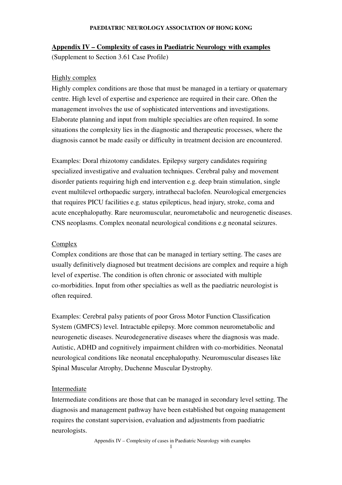### **PAEDIATRIC NEUROLOGY ASSOCIATION OF HONG KONG**

## **Appendix IV – Complexity of cases in Paediatric Neurology with examples**

(Supplement to Section 3.61 Case Profile)

## **Highly complex**

Highly complex conditions are those that must be managed in a tertiary or quaternary centre. High level of expertise and experience are required in their care. Often the management involves the use of sophisticated interventions and investigations. Elaborate planning and input from multiple specialties are often required. In some situations the complexity lies in the diagnostic and therapeutic processes, where the diagnosis cannot be made easily or difficulty in treatment decision are encountered.

Examples: Doral rhizotomy candidates. Epilepsy surgery candidates requiring specialized investigative and evaluation techniques. Cerebral palsy and movement disorder patients requiring high end intervention e.g. deep brain stimulation, single event multilevel orthopaedic surgery, intrathecal baclofen. Neurological emergencies that requires PICU facilities e.g. status epilepticus, head injury, stroke, coma and acute encephalopathy. Rare neuromuscular, neurometabolic and neurogenetic diseases. CNS neoplasms. Complex neonatal neurological conditions e.g neonatal seizures.

### Complex

Complex conditions are those that can be managed in tertiary setting. The cases are usually definitively diagnosed but treatment decisions are complex and require a high level of expertise. The condition is often chronic or associated with multiple co-morbidities. Input from other specialties as well as the paediatric neurologist is often required.

Examples: Cerebral palsy patients of poor Gross Motor Function Classification System (GMFCS) level. Intractable epilepsy. More common neurometabolic and neurogenetic diseases. Neurodegenerative diseases where the diagnosis was made. Autistic, ADHD and cognitively impairment children with co-morbidities. Neonatal neurological conditions like neonatal encephalopathy. Neuromuscular diseases like Spinal Muscular Atrophy, Duchenne Muscular Dystrophy.

# Intermediate

Intermediate conditions are those that can be managed in secondary level setting. The diagnosis and management pathway have been established but ongoing management requires the constant supervision, evaluation and adjustments from paediatric neurologists.